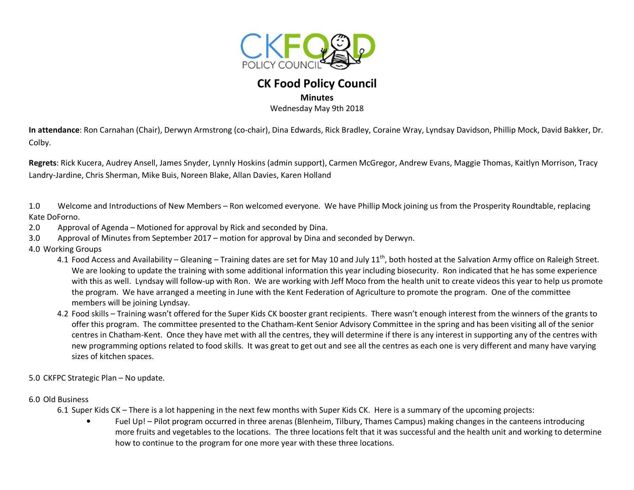

## **CK Food Policy Council**

## **Minutes**

Wednesday May 9th 2018

**In attendance**: Ron Carnahan (Chair), Derwyn Armstrong (co-chair), Dina Edwards, Rick Bradley, Coraine Wray, Lyndsay Davidson, Phillip Mock, David Bakker, Dr. Colby.

**Regrets**: Rick Kucera, Audrey Ansell, James Snyder, Lynnly Hoskins (admin support), Carmen McGregor, Andrew Evans, Maggie Thomas, Kaitlyn Morrison, Tracy Landry-Jardine, Chris Sherman, Mike Buis, Noreen Blake, Allan Davies, Karen Holland

1.0 Welcome and Introductions of New Members – Ron welcomed everyone. We have Phillip Mock joining us from the Prosperity Roundtable, replacing Kate DoForno.

- 2.0 Approval of Agenda Motioned for approval by Rick and seconded by Dina.
- 3.0 Approval of Minutes from September 2017 motion for approval by Dina and seconded by Derwyn.
- 4.0 Working Groups
	- 4.1 Food Access and Availability Gleaning Training dates are set for May 10 and July 11<sup>th</sup>, both hosted at the Salvation Army office on Raleigh Street. We are looking to update the training with some additional information this year including biosecurity. Ron indicated that he has some experience with this as well. Lyndsay will follow-up with Ron. We are working with Jeff Moco from the health unit to create videos this year to help us promote the program. We have arranged a meeting in June with the Kent Federation of Agriculture to promote the program. One of the committee members will be joining Lyndsay.
	- 4.2 Food skills Training wasn't offered for the Super Kids CK booster grant recipients. There wasn't enough interest from the winners of the grants to offer this program. The committee presented to the Chatham-Kent Senior Advisory Committee in the spring and has been visiting all of the senior centres in Chatham-Kent. Once they have met with all the centres, they will determine if there is any interest in supporting any of the centres with new programming options related to food skills. It was great to get out and see all the centres as each one is very different and many have varying sizes of kitchen spaces.
- 5.0 CKFPC Strategic Plan No update.
- 6.0 Old Business

6.1 Super Kids CK – There is a lot happening in the next few months with Super Kids CK. Here is a summary of the upcoming projects:

• Fuel Up! – Pilot program occurred in three arenas (Blenheim, Tilbury, Thames Campus) making changes in the canteens introducing more fruits and vegetables to the locations. The three locations felt that it was successful and the health unit and working to determine how to continue to the program for one more year with these three locations.